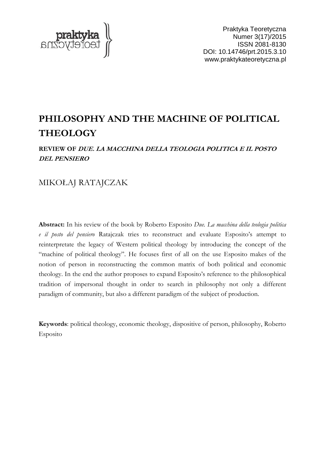

Praktyka Teoretyczna Numer 3(17)/2015 ISSN 2081-8130 DOI: 10.14746/prt.2015.3.10 www.praktykateoretyczna.pl

# **PHILOSOPHY AND THE MACHINE OF POLITICAL THEOLOGY**

### **REVIEW OF DUE. LA MACCHINA DELLA TEOLOGIA POLITICA E IL POSTO DEL PENSIERO**

## MIKOŁAJ RATAJCZAK

**Abstract:** In his review of the book by Roberto Esposito *Due. La macchina della teologia politica e il posto del pensiero* Ratajczak tries to reconstruct and evaluate Esposito's attempt to reinterpretate the legacy of Western political theology by introducing the concept of the "machine of political theology". He focuses first of all on the use Esposito makes of the notion of person in reconstructing the common matrix of both political and economic theology. In the end the author proposes to expand Esposito's reference to the philosophical tradition of impersonal thought in order to search in philosophy not only a different paradigm of community, but also a different paradigm of the subject of production.

**Keywords**: political theology, economic theology, dispositive of person, philosophy, Roberto Esposito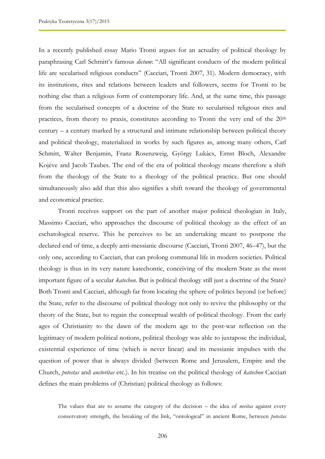In a recently published essay Mario Tronti argues for an actuality of political theology by paraphrasing Carl Schmitt's famous *dictum*: "All significant conducts of the modern political life are secularised religious conducts" (Cacciari, Tronti 2007, 31). Modern democracy, with its institutions, rites and relations between leaders and followers, seems for Tronti to be nothing else than a religious form of contemporary life. And, at the same time, this passage from the secularised concepts of a doctrine of the State to secularised religious rites and practices, from theory to praxis, constitutes according to Tronti the very end of the 20<sup>th</sup> century – a century marked by a structural and intimate relationship between political theory and political theology, materialized in works by such figures as, among many others, Carl Schmitt, Walter Benjamin, Franz Rosenzweig, György Lukàcs, Ernst Bloch, Alexandre Kojève and Jacob Taubes. The end of the era of political theology means therefore a shift from the theology of the State to a theology of the political practice. But one should simultaneously also add that this also signifies a shift toward the theology of governmental and economical practice.

Tronti receives support on the part of another major political theologian in Italy, Massimo Cacciari, who approaches the discourse of political theology as the effect of an eschatological reserve. This he perceives to be an undertaking meant to postpone the declared end of time, a deeply anti-messianic discourse (Cacciari, Tronti 2007, 46–47), but the only one, according to Cacciari, that can prolong communal life in modern societies. Political theology is thus in its very nature katechontic, conceiving of the modern State as the most important figure of a secular *katechon*. But is political theology still just a doctrine of the State? Both Tronti and Cacciari, although far from locating the sphere of politics beyond (or before) the State, refer to the discourse of political theology not only to revive the philosophy or the theory of the State, but to regain the conceptual wealth of political theology. From the early ages of Christianity to the dawn of the modern age to the post-war reflection on the legitimacy of modern political notions, political theology was able to juxtapose the individual, existential experience of time (which is never linear) and its messianic impulses with the question of power that is always divided (between Rome and Jerusalem, Empire and the Church, *potestas* and *auctoritas* etc.). In his treatise on the political theology of *katechon* Cacciari defines the main problems of (Christian) political theology as follows:

The values that are to assume the category of the decision – the idea of *novitas* against every conservatory strength, the breaking of the link, "ontological" in ancient Rome, between *potestas*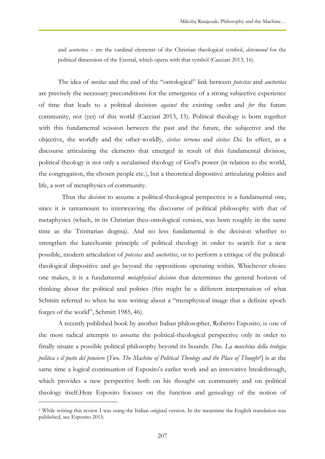and *acutoritas* – are the cardinal elements of the Christian theological symbol, *determined* for the political dimension of the Eternal, which opens with that symbol (Cacciari 2013, 16).

The idea of *novitas* and the end of the "ontological" link between *potestas* and *auctoritas*  are precisely the necessary preconditions for the emergence of a strong subjective experience of time that leads to a political decision *against* the existing order and *for* the future community, not (yet) of this world (Cacciari 2013, 15). Political theology is born together with this fundamental scission between the past and the future, the subjective and the objective, the worldly and the other-worldly, *civitas terrana* and *civitas Dei*. In effect, as a discourse articulating the elements that emerged in result of this fundamental division, political theology is not only a secularised theology of God's power (in relation to the world, the congregation, the chosen people etc.), but a theoretical dispositive articulating politics and life, a sort of metaphysics of community.

Thus the *decision* to assume a political-theological perspective is a fundamental one, since it is tantamount to interweaving the discourse of political philosophy with that of metaphysics (which, in its Christian theo-ontological version, was born roughly in the same time as the Trinitarian dogma). And no less fundamental is the decision whether to strengthen the katechontic principle of political theology in order to search for a new possible, modern articulation of *potestas* and *auctoritas*, or to perform a critique of the politicaltheological dispositive and go beyond the oppositions operating within. Whichever choice one makes, it is a fundamental *metaphysical decision* that determines the general horizon of thinking about the political and politics (this might be a different interpretation of what Schmitt referred to when he was writing about a "metaphysical image that a definite epoch forges of the world", Schmitt 1985, 46).

A recently published book by another Italian philosopher, Roberto Esposito, is one of the most radical attempts to assume the political-theological perspective only in order to finally situate a possible political philosophy beyond its bounds. *Due. La macchina della teologia politica e il posto del pensiero* [*Two. The Machine of Political Theology and the Place of Thought*<sup>1</sup> ] is at the same time a logical continuation of Esposito's earlier work and an innovative breakthrough, which provides a new perspective both on his thought on community and on political theology itself.Here Esposito focuses on the function and genealogy of the notion of

 $\overline{a}$ 

<sup>1</sup> While writing this review I was using the Italian original version. In the meantime the English translation was published, see Esposito 2015.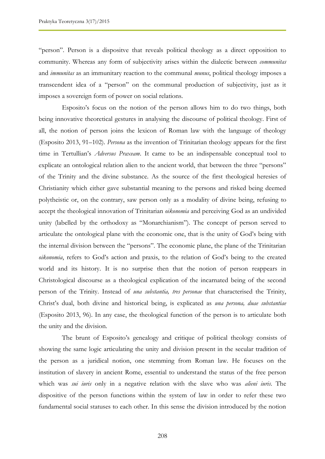"person". Person is a dispositve that reveals political theology as a direct opposition to community. Whereas any form of subjectivity arises within the dialectic between *communitas*  and *immunitas* as an immunitary reaction to the communal *munus*, political theology imposes a transcendent idea of a "person" on the communal production of subjectivity, just as it imposes a sovereign form of power on social relations.

Esposito's focus on the notion of the person allows him to do two things, both being innovative theoretical gestures in analysing the discourse of political theology. First of all, the notion of person joins the lexicon of Roman law with the language of theology (Esposito 2013, 91–102). *Persona* as the invention of Trinitarian theology appears for the first time in Tertullian's *Adversus Praxeam*. It came to be an indispensable conceptual tool to explicate an ontological relation alien to the ancient world, that between the three "persons" of the Trinity and the divine substance. As the source of the first theological heresies of Christianity which either gave substantial meaning to the persons and risked being deemed polytheistic or, on the contrary, saw person only as a modality of divine being, refusing to accept the theological innovation of Trinitarian *oikonomia* and perceiving God as an undivided unity (labelled by the orthodoxy as "Monarchianism"). The concept of person served to articulate the ontological plane with the economic one, that is the unity of God's being with the internal division between the "persons". The economic plane, the plane of the Trinitarian *oikonomia*, refers to God's action and praxis, to the relation of God's being to the created world and its history. It is no surprise then that the notion of person reappears in Christological discourse as a theological explication of the incarnated being of the second person of the Trinity. Instead of *una substantia, tres personae* that characterised the Trinity, Christ's dual, both divine and historical being, is explicated as *una persona, duae substantiae* (Esposito 2013, 96). In any case, the theological function of the person is to articulate both the unity and the division.

The brunt of Esposito's genealogy and critique of political theology consists of showing the same logic articulating the unity and division present in the secular tradition of the person as a juridical notion, one stemming from Roman law. He focuses on the institution of slavery in ancient Rome, essential to understand the status of the free person which was *sui iuris* only in a negative relation with the slave who was *alieni iuris*. The dispositive of the person functions within the system of law in order to refer these two fundamental social statuses to each other. In this sense the division introduced by the notion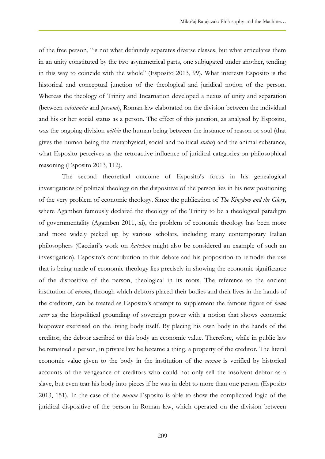of the free person, "is not what definitely separates diverse classes, but what articulates them in an unity constituted by the two asymmetrical parts, one subjugated under another, tending in this way to coincide with the whole" (Esposito 2013, 99). What interests Esposito is the historical and conceptual junction of the theological and juridical notion of the person. Whereas the theology of Trinity and Incarnation developed a nexus of unity and separation (between *substantia* and *persona*), Roman law elaborated on the division between the individual and his or her social status as a person. The effect of this junction, as analysed by Esposito, was the ongoing division *within* the human being between the instance of reason or soul (that gives the human being the metaphysical, social and political *status*) and the animal substance, what Esposito perceives as the retroactive influence of juridical categories on philosophical reasoning (Esposito 2013, 112).

The second theoretical outcome of Esposito's focus in his genealogical investigations of political theology on the dispositive of the person lies in his new positioning of the very problem of economic theology. Since the publication of *The Kingdom and the Glory*, where Agamben famously declared the theology of the Trinity to be a theological paradigm of governmentality (Agamben 2011, xi), the problem of economic theology has been more and more widely picked up by various scholars, including many contemporary Italian philosophers (Cacciari's work on *katechon* might also be considered an example of such an investigation). Esposito's contribution to this debate and his proposition to remodel the use that is being made of economic theology lies precisely in showing the economic significance of the dispositive of the person, theological in its roots. The reference to the ancient institution of *nexum*, through which debtors placed their bodies and their lives in the hands of the creditors, can be treated as Esposito's attempt to supplement the famous figure of *homo sacer* as the biopolitical grounding of sovereign power with a notion that shows economic biopower exercised on the living body itself. By placing his own body in the hands of the creditor, the debtor ascribed to this body an economic value. Therefore, while in public law he remained a person, in private law he became a thing, a property of the creditor. The literal economic value given to the body in the institution of the *nexum* is verified by historical accounts of the vengeance of creditors who could not only sell the insolvent debtor as a slave, but even tear his body into pieces if he was in debt to more than one person (Esposito 2013, 151). In the case of the *nexum* Esposito is able to show the complicated logic of the juridical dispositive of the person in Roman law, which operated on the division between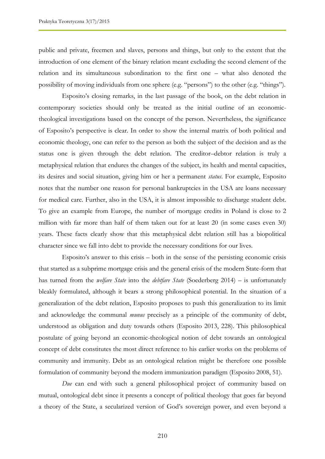public and private, freemen and slaves, persons and things, but only to the extent that the introduction of one element of the binary relation meant excluding the second element of the relation and its simultaneous subordination to the first one – what also denoted the possibility of moving individuals from one sphere (e.g. "persons") to the other (e.g. "things").

Esposito's closing remarks, in the last passage of the book, on the debt relation in contemporary societies should only be treated as the initial outline of an economictheological investigations based on the concept of the person. Nevertheless, the significance of Esposito's perspective is clear. In order to show the internal matrix of both political and economic theology, one can refer to the person as both the subject of the decision and as the status one is given through the debt relation. The creditor–debtor relation is truly a metaphysical relation that endures the changes of the subject, its health and mental capacities, its desires and social situation, giving him or her a permanent *status*. For example, Esposito notes that the number one reason for personal bankruptcies in the USA are loans necessary for medical care. Further, also in the USA, it is almost impossible to discharge student debt. To give an example from Europe, the number of mortgage credits in Poland is close to 2 million with far more than half of them taken out for at least 20 (in some cases even 30) years. These facts clearly show that this metaphysical debt relation still has a biopolitical character since we fall into debt to provide the necessary conditions for our lives.

Esposito's answer to this crisis – both in the sense of the persisting economic crisis that started as a subprime mortgage crisis and the general crisis of the modern State-form that has turned from the *welfare State* into the *debtfare State* (Soederberg 2014) – is unfortunately bleakly formulated, although it bears a strong philosophical potential. In the situation of a generalization of the debt relation, Esposito proposes to push this generalization to its limit and acknowledge the communal *munus* precisely as a principle of the community of debt, understood as obligation and duty towards others (Esposito 2013, 228). This philosophical postulate of going beyond an economic-theological notion of debt towards an ontological concept of debt constitutes the most direct reference to his earlier works on the problems of community and immunity. Debt as an ontological relation might be therefore one possible formulation of community beyond the modern immunization paradigm (Esposito 2008, 51).

*Due* can end with such a general philosophical project of community based on mutual, ontological debt since it presents a concept of political theology that goes far beyond a theory of the State, a secularized version of God's sovereign power, and even beyond a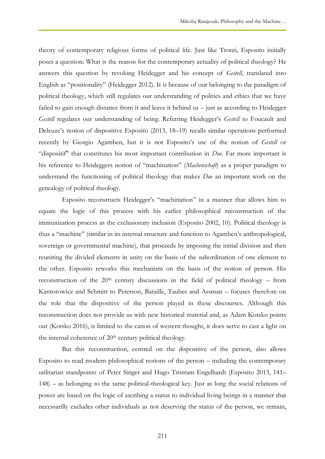theory of contemporary religious forms of political life. Just like Tronti, Esposito initially poses a question: What is the reason for the contemporary actuality of political theology? He answers this question by revoking Heidegger and his concept of *Gestell*, translated into English as "positionality" (Heidegger 2012). It is because of our belonging to the paradigm of political theology, which still regulates our understanding of politics and ethics that we have failed to gain enough distance from it and leave it behind us – just as according to Heidegger *Gestell* regulates our understanding of being. Referring Heidegger's *Gestell* to Foucault and Deleuze's notion of dispositive Esposito (2013, 18–19) recalls similar operations performed recently by Giorgio Agamben, but it is not Esposito's use of the notion of *Gestell* or "dispositif" that constitutes his most important contribution in *Due*. Far more important is his reference to Heideggers notion of "machination" (*Machenschaft*) as a proper paradigm to understand the functioning of political theology that makes *Due* an important work on the genealogy of political theology.

Esposito reconstructs Heidegger's "machination" in a manner that allows him to equate the logic of this process with his earlier philosophical reconstruction of the immunization process as the exclusionary inclusion (Esposito 2002, 10). Political theology is thus a "machine" (similar in its internal structure and function to Agamben's anthropological, sovereign or governmental machine), that proceeds by imposing the initial division and then reuniting the divided elements in unity on the basis of the subordination of one element to the other. Esposito reworks this mechanism on the basis of the notion of person. His reconstruction of the 20th century discussions in the field of political theology – from Kantorowicz and Schmitt to Peterson, Bataille, Taubes and Assman – focuses therefore on the role that the dispositive of the person played in these discourses. Although this reconstruction does not provide us with new historical material and, as Adam Kotsko points out (Kotsko 2016), is limited to the canon of western thought, it does serve to cast a light on the internal coherence of 20<sup>th</sup> century political theology.

But this reconstruction, centred on the dispositive of the person, also allows Esposito to read modern philosophical notions of the person – including the contemporary utilitarian standpoints of Peter Singer and Hugo Tristram Engelhardt (Esposito 2013, 141– 148) – as belonging to the same political-theological key. Just as long the social relations of power are based on the logic of ascribing a status to individual living beings in a manner that necessarilly excludes other individuals as not deserving the status of the person, we remain,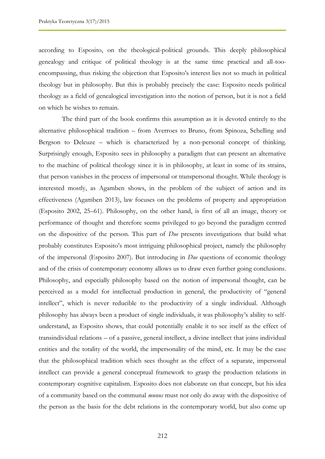according to Esposito, on the theological-political grounds. This deeply philosophical genealogy and critique of political theology is at the same time practical and all-tooencompassing, thus risking the objection that Esposito's interest lies not so much in political theology but in philosophy. But this is probably precisely the case: Esposito needs political theology as a field of genealogical investigation into the notion of person, but it is not a field on which he wishes to remain.

The third part of the book confirms this assumption as it is devoted entirely to the alternative philosophical tradition – from Averroes to Bruno, from Spinoza, Schelling and Bergson to Deleuze – which is characterized by a non-personal concept of thinking. Surprisingly enough, Esposito sees in philosophy a paradigm that can present an alternative to the machine of political theology since it is in philosophy, at least in some of its strains, that person vanishes in the process of impersonal or transpersonal thought. While theology is interested mostly, as Agamben shows, in the problem of the subject of action and its effectiveness (Agamben 2013), law focuses on the problems of property and appropriation (Esposito 2002, 25–61). Philosophy, on the other hand, is first of all an image, theory or performance of thought and therefore seems privileged to go beyond the paradigm centred on the dispositive of the person. This part of *Due* presents investigations that build what probably constitutes Esposito's most intriguing philosophical project, namely the philosophy of the impersonal (Esposito 2007). But introducing in *Due* questions of economic theology and of the crisis of contemporary economy allows us to draw even further going conclusions. Philosophy, and especially philosophy based on the notion of impersonal thought, can be perceived as a model for intellectual production in general, the productivity of "general intellect", which is never reducible to the productivity of a single individual. Although philosophy has always been a product of single individuals, it was philosophy's ability to selfunderstand, as Esposito shows, that could potentially enable it to see itself as the effect of transindividual relations – of a passive, general intellect, a divine intellect that joins individual entities and the totality of the world, the impersonality of the mind, etc. It may be the case that the philosophical tradition which sees thought as the effect of a separate, impersonal intellect can provide a general conceptual framework to grasp the production relations in contemporary cognitive capitalism. Esposito does not elaborate on that concept, but his idea of a community based on the communal *munus* must not only do away with the dispositive of the person as the basis for the debt relations in the contemporary world, but also come up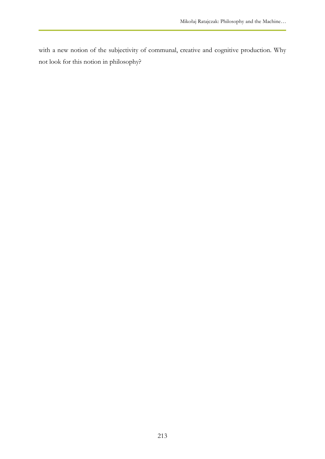with a new notion of the subjectivity of communal, creative and cognitive production. Why not look for this notion in philosophy?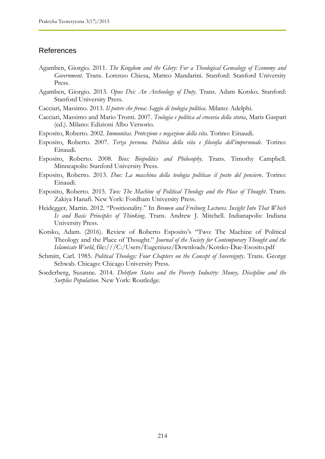#### References

- Agamben, Giorgio. 2011. *The Kingdom and the Glory: For a Theological Genealogy of Economy and Government*. Trans. Lorenzo Chiesa, Matteo Mandarini. Stanford: Stanford University Press.
- Agamben, Giorgio. 2013. *Opus Dei: An Archeology of Duty*. Trans. Adam Kotsko. Stanford: Stanford University Press.
- Cacciari, Massimo. 2013. *Il potere che frena: Saggio di teologia politica*. Milano: Adelphi.
- Cacciari, Massimo and Mario Tronti. 2007. *Teologia e politica al crocevia della storia*, Maris Gaspari (ed.). Milano: Edizioni Albo Versorio.
- Esposito, Roberto. 2002. *Immunitas. Protezione e negazione della vita*. Torino: Einaudi.
- Esposito, Roberto. 2007. *Terza persona. Politica della vita e filosofia dell'impersonale*. Torino: Einaudi.
- Esposito, Roberto. 2008. *Bios: Biopolitics and Philosophy*. Trans. Timothy Campbell. Minneapolis: Stanford University Press.
- Esposito, Roberto. 2013. *Due: La macchina della teologia politicae il posto del pensiero*. Torino: Einaudi.
- Esposito, Roberto. 2015. *Two: The Machine of Political Theology and the Place of Thought*. Trans. Zakiya Hanafi. New York: Fordham University Press.
- Heidegger, Martin. 2012. "Positionality." In *Bremen and Freiburg Lectures. Insight Into That Which Is and Basic Principles of Thinking*. Trans. Andrew J. Mitchell. Indianapolis: Indiana University Press.
- Kotsko, Adam. (2016). Review of Roberto Esposito's "Two: The Machine of Political Theology and the Place of Thought." *Journal of the Society for Contemporary Thought and the Islamicate World*, file:///C:/Users/Eugeniusz/Downloads/Kotsko-Due-Esosito.pdf
- Schmitt, Carl. 1985. *Political Theology: Four Chapters on the Concept of Sovereignty*. Trans. George Schwab. Chicago: Chicago University Press.
- Soederberg, Susanne. 2014. *Debtfare States and the Poverty Industry: Money, Discipline and the Surplus Population*. New York: Routledge.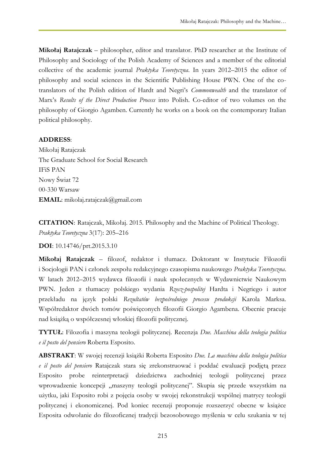**Mikołaj Ratajczak** – philosopher, editor and translator. PhD researcher at the Institute of Philosophy and Sociology of the Polish Academy of Sciences and a member of the editorial collective of the academic journal *Praktyka Teoretyczna*. In years 2012–2015 the editor of philosophy and social sciences in the Scientific Publishing House PWN. One of the cotranslators of the Polish edition of Hardt and Negri's *Commonwealth* and the translator of Marx's *Results of the Direct Production Process* into Polish. Co-editor of two volumes on the philosophy of Giorgio Agamben. Currently he works on a book on the contemporary Italian political philosophy.

### **ADDRESS**:

Mikołaj Ratajczak The Graduate School for Social Research IFiS PAN Nowy Świat 72 00-330 Warsaw **EMAIL**: mikolaj.ratajczak@gmail.com

**CITATION**: Ratajczak, Mikołaj. 2015. Philosophy and the Machine of Political Theology. *Praktyka Teoretyczna* 3(17): 205–216

**DOI**: 10.14746/prt.2015.3.10

**Mikołaj Ratajczak** – filozof, redaktor i tłumacz. Doktorant w Instytucie Filozofii i Socjologii PAN i członek zespołu redakcyjnego czasopisma naukowego *Praktyka Teoretyczna*. W latach 2012–2015 wydawca filozofii i nauk społecznych w Wydawnictwie Naukowym PWN. Jeden z tłumaczy polskiego wydania *Rzecz-pospolitej* Hardta i Negriego i autor przekładu na język polski *Rezultatów bezpośredniego procesu produkcji* Karola Marksa. Współredaktor dwóch tomów poświęconych filozofii Giorgio Agambena. Obecnie pracuje nad książką o współczesnej włoskiej filozofii politycznej.

**TYTUŁ**: Filozofia i maszyna teologii politycznej. Recenzja *Due. Macchina della teologia politica e il posto del pensiero* Roberta Esposito.

**ABSTRAKT**: W swojej recenzji książki Roberta Esposito *Due. La macchina della teologia politica e il posto del pensiero* Ratajczak stara się zrekonstruować i poddać ewaluacji podjętą przez Esposito probe reinterpretacji dziedzictwa zachodniej teologii politycznej przez wprowadzenie koncepcji "maszyny teologii politycznej". Skupia się przede wszystkim na użytku, jaki Esposito robi z pojęcia osoby w swojej rekonstrukcji wspólnej matrycy teologii politycznej i ekonomicznej. Pod koniec recenzji proponuje rozszerzyć obecne w książce Esposita odwołanie do filozoficznej tradycji bezosobowego myślenia w celu szukania w tej